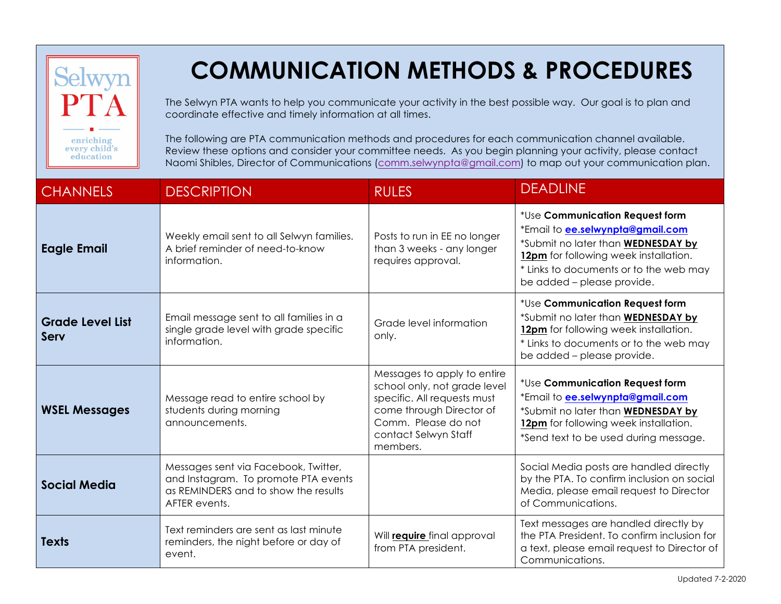| selwyn<br>enriching<br>every child's<br>education | <b>COMMUNICATION METHODS &amp; PROCEDURES</b><br>The Selwyn PTA wants to help you communicate your activity in the best possible way. Our goal is to plan and<br>coordinate effective and timely information at all times.<br>The following are PTA communication methods and procedures for each communication channel available.<br>Review these options and consider your committee needs. As you begin planning your activity, please contact<br>Naomi Shibles, Director of Communications (comm.selwynpta@gmail.com) to map out your communication plan. |                                                                                                                                                                                   |                                                                                                                                                                                                                            |  |
|---------------------------------------------------|---------------------------------------------------------------------------------------------------------------------------------------------------------------------------------------------------------------------------------------------------------------------------------------------------------------------------------------------------------------------------------------------------------------------------------------------------------------------------------------------------------------------------------------------------------------|-----------------------------------------------------------------------------------------------------------------------------------------------------------------------------------|----------------------------------------------------------------------------------------------------------------------------------------------------------------------------------------------------------------------------|--|
| <b>CHANNELS</b>                                   | <b>DESCRIPTION</b>                                                                                                                                                                                                                                                                                                                                                                                                                                                                                                                                            | <b>RULES</b>                                                                                                                                                                      | <b>DEADLINE</b>                                                                                                                                                                                                            |  |
| <b>Eagle Email</b>                                | Weekly email sent to all Selwyn families.<br>A brief reminder of need-to-know<br>information.                                                                                                                                                                                                                                                                                                                                                                                                                                                                 | Posts to run in EE no longer<br>than 3 weeks - any longer<br>requires approval.                                                                                                   | *Use Communication Request form<br>*Email to ee.selwynpta@gmail.com<br>*Submit no later than WEDNESDAY by<br>12pm for following week installation.<br>* Links to documents or to the web may<br>be added - please provide. |  |
| <b>Grade Level List</b><br>Serv                   | Email message sent to all families in a<br>single grade level with grade specific<br>information.                                                                                                                                                                                                                                                                                                                                                                                                                                                             | Grade level information<br>only.                                                                                                                                                  | *Use Communication Request form<br>*Submit no later than WEDNESDAY by<br>12pm for following week installation.<br>* Links to documents or to the web may<br>be added - please provide.                                     |  |
| <b>WSEL Messages</b>                              | Message read to entire school by<br>students during morning<br>announcements.                                                                                                                                                                                                                                                                                                                                                                                                                                                                                 | Messages to apply to entire<br>school only, not grade level<br>specific. All requests must<br>come through Director of<br>Comm. Please do not<br>contact Selwyn Staff<br>members. | *Use Communication Request form<br>*Email to <b>ee.selwynpta@gmail.com</b><br>*Submit no later than WEDNESDAY by<br>12pm for following week installation.<br>*Send text to be used during message.                         |  |
| <b>Social Media</b>                               | Messages sent via Facebook, Twitter,<br>and Instagram. To promote PTA events<br>as REMINDERS and to show the results<br>AFTER events.                                                                                                                                                                                                                                                                                                                                                                                                                         |                                                                                                                                                                                   | Social Media posts are handled directly<br>by the PTA. To confirm inclusion on social<br>Media, please email request to Director<br>of Communications.                                                                     |  |
| <b>Texts</b>                                      | Text reminders are sent as last minute<br>reminders, the night before or day of<br>event.                                                                                                                                                                                                                                                                                                                                                                                                                                                                     | Will <b>require</b> final approval<br>from PTA president.                                                                                                                         | Text messages are handled directly by<br>the PTA President. To confirm inclusion for<br>a text, please email request to Director of<br>Communications.                                                                     |  |